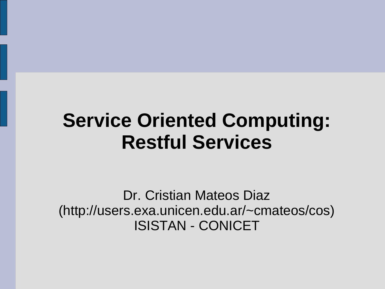# **Service Oriented Computing: Restful Services**

Dr. Cristian Mateos Diaz (http://users.exa.unicen.edu.ar/~cmateos/cos) ISISTAN - CONICET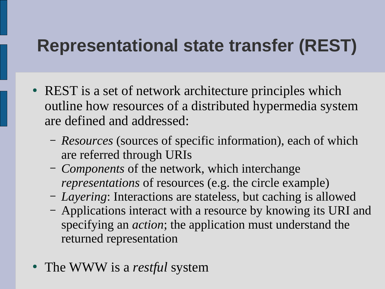## **Representational state transfer (REST)**

- REST is a set of network architecture principles which outline how resources of a distributed hypermedia system are defined and addressed:
	- *Resources* (sources of specific information), each of which are referred through URIs
	- *Components* of the network, which interchange *representations* of resources (e.g. the circle example)
	- *Layering*: Interactions are stateless, but caching is allowed
	- Applications interact with a resource by knowing its URI and specifying an *action*; the application must understand the returned representation
- The WWW is a *restful* system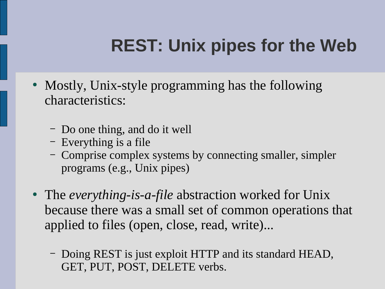# **REST: Unix pipes for the Web**

- Mostly, Unix-style programming has the following characteristics:
	- Do one thing, and do it well
	- Everything is a file
	- Comprise complex systems by connecting smaller, simpler programs (e.g., Unix pipes)
- The *everything-is-a-file* abstraction worked for Unix because there was a small set of common operations that applied to files (open, close, read, write)...
	- Doing REST is just exploit HTTP and its standard HEAD, GET, PUT, POST, DELETE verbs.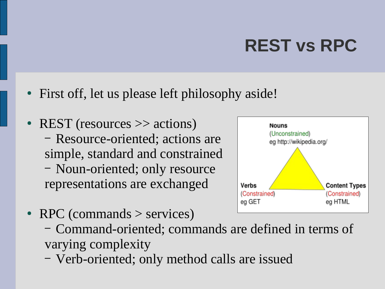# **REST vs RPC**

- First off, let us please left philosophy aside!
- REST (resources  $\geq$  actions) – Resource-oriented; actions are simple, standard and constrained – Noun-oriented; only resource representations are exchanged
- RPC (commands  $>$  services)



– Verb-oriented; only method calls are issued

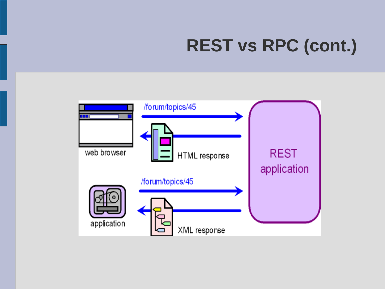# **REST vs RPC (cont.)**

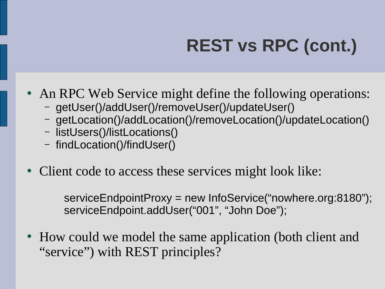# **REST vs RPC (cont.)**

- An RPC Web Service might define the following operations:
	- getUser()/addUser()/removeUser()/updateUser()
	- getLocation()/addLocation()/removeLocation()/updateLocation()
	- listUsers()/listLocations()
	- findLocation()/findUser()
- Client code to access these services might look like:

serviceEndpointProxy = new InfoService("nowhere.org:8180"); serviceEndpoint.addUser("001", "John Doe");

• How could we model the same application (both client and "service") with REST principles?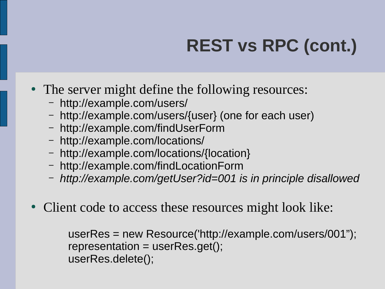# **REST vs RPC (cont.)**

- The server might define the following resources:
	- http://example.com/users/
	- http://example.com/users/{user} (one for each user)
	- http://example.com/findUserForm
	- http://example.com/locations/
	- http://example.com/locations/{location}
	- http://example.com/findLocationForm
	- *http://example.com/getUser?id=001 is in principle disallowed*
- Client code to access these resources might look like:

```
userRes = new Resource('http://example.com/users/001");
representation = userRes.get();
userRes.delete();
```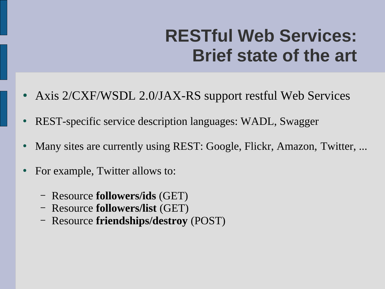## **RESTful Web Services: Brief state of the art**

- Axis 2/CXF/WSDL 2.0/JAX-RS support restful Web Services
- REST-specific service description languages: WADL, Swagger
- Many sites are currently using REST: Google, Flickr, Amazon, Twitter, ...
- For example, Twitter allows to:
	- Resource **followers/ids** (GET)
	- Resource **followers/list** (GET)
	- Resource **friendships/destroy** (POST)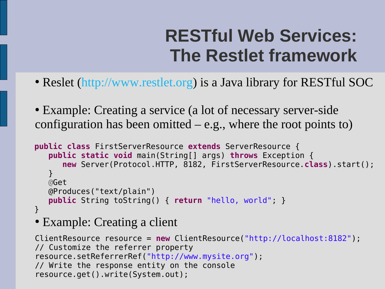# **RESTful Web Services: The Restlet framework**

- Reslet ([http://www.restlet.org](http://www.restlet.org/)) is a Java library for RESTful SOC
- Example: Creating a service (a lot of necessary server-side configuration has been omitted – e.g., where the root points to)

```
public class FirstServerResource extends ServerResource { 
    public static void main(String[] args) throws Exception { 
       new Server(Protocol.HTTP, 8182, FirstServerResource.class).start(); 
 }
   @Get
   @Produces("text/plain") 
    public String toString() { return "hello, world"; }
}
```
• Example: Creating a client

```
ClientResource resource = new ClientResource("http://localhost:8182"); 
// Customize the referrer property 
resource.setReferrerRef("http://www.mysite.org"); 
// Write the response entity on the console
resource.get().write(System.out);
```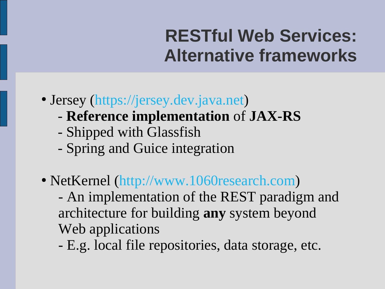### **RESTful Web Services: Alternative frameworks**

- Jersey ([https://jersey.dev.java.net](https://jersey.dev.java.net/))
	- **Reference implementation** of **JAX-RS**
	- Shipped with Glassfish
	- Spring and Guice integration
- NetKernel ([http://www.1060research.com](http://www.1060research.com/))
	- An implementation of the REST paradigm and architecture for building **any** system beyond Web applications
	- E.g. local file repositories, data storage, etc.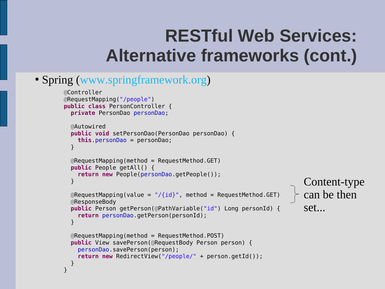### **RESTful Web Services: Alternative frameworks (cont.)**

• Spring ([www.springframework.org](http://www.springframework.org/))

```
@Controller
@RequestMapping("/people")
public class PersonController {
   private PersonDao personDao;
   @Autowired
   public void setPersonDao(PersonDao personDao) {
     this.personDao = personDao;
 }
  @RequestMapping(method = RequestMethod.GET)
   public People getAll() {
     return new People(personDao.getPeople());
   }
  @RequestMapping(value = "/\{id\}", method = RequestMethod.GET)
   @ResponseBody
   public Person getPerson(@PathVariable("id") Long personId) {
     return personDao.getPerson(personId);
   }
  @RequestMapping(method = RequestMethod.POST) public View savePerson(@RequestBody Person person) {
     personDao.savePerson(person);
     return new RedirectView("/people/" + person.getId());
   }
}
                                                                       Content-type
                                                                       can be then
                                                                       set...
```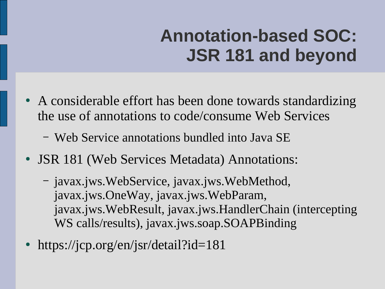# **Annotation-based SOC: JSR 181 and beyond**

- A considerable effort has been done towards standardizing the use of annotations to code/consume Web Services
	- Web Service annotations bundled into Java SE
- JSR 181 (Web Services Metadata) Annotations:
	- javax.jws.WebService, javax.jws.WebMethod, javax.jws.OneWay, javax.jws.WebParam, javax.jws.WebResult, javax.jws.HandlerChain (intercepting WS calls/results), javax.jws.soap.SOAPBinding
- <https://jcp.org/en/jsr/detail?id=181>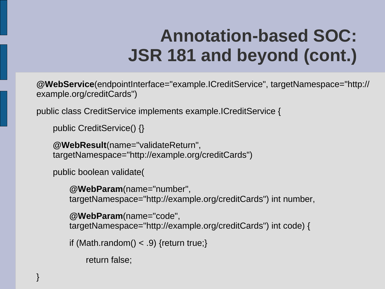# **Annotation-based SOC: JSR 181 and beyond (cont.)**

**@WebService**(endpointInterface="example.ICreditService", targetNamespace="http:// example.org/creditCards")

public class CreditService implements example.ICreditService {

public CreditService() {}

**@WebResult**(name="validateReturn", targetNamespace="http://example.org/creditCards")

public boolean validate(

**@WebParam**(name="number", targetNamespace="http://example.org/creditCards") int number,

**@WebParam**(name="code", targetNamespace="http://example.org/creditCards") int code) {

if (Math.random()  $<$  .9) {return true;}

return false;

}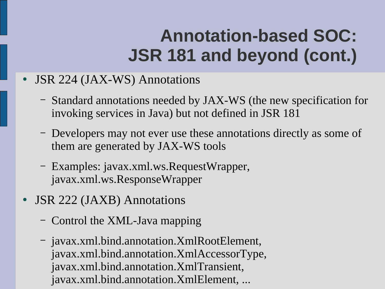# **Annotation-based SOC: JSR 181 and beyond (cont.)**

- JSR 224 (JAX-WS) Annotations
	- Standard annotations needed by JAX-WS (the new specification for invoking services in Java) but not defined in JSR 181
	- Developers may not ever use these annotations directly as some of them are generated by JAX-WS tools
	- Examples: javax.xml.ws.RequestWrapper, javax.xml.ws.ResponseWrapper
- JSR 222 (JAXB) Annotations
	- Control the XML-Java mapping
	- javax.xml.bind.annotation.XmlRootElement, javax.xml.bind.annotation.XmlAccessorType, javax.xml.bind.annotation.XmlTransient, javax.xml.bind.annotation.XmlElement, ...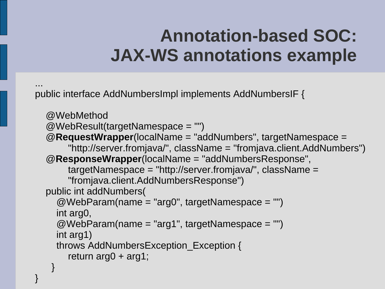## **Annotation-based SOC: JAX-WS annotations example**

... public interface AddNumbersImpl implements AddNumbersIF {

```
 @WebMethod
 @WebResult(targetNamespace = "")
 @RequestWrapper(localName = "addNumbers", targetNamespace = 
    "http://server.fromjava/", className = "fromjava.client.AddNumbers")
 @ResponseWrapper(localName = "addNumbersResponse", 
    targetNamespace = "http://server.fromjava/", className = 
    "fromjava.client.AddNumbersResponse")
 public int addNumbers(
  @WebParam(name = "arg0", targetNamespace = "")
   int arg0,
  @WebParam(name = "arg1", targetNamespace = "")
   int arg1)
   throws AddNumbersException_Exception {
    return arg0 + arg1;
 }
```
}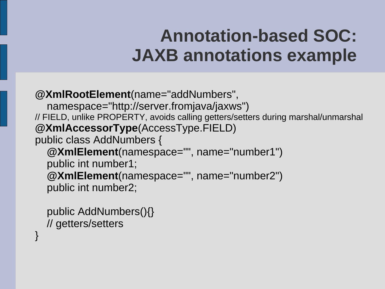### **Annotation-based SOC: JAXB annotations example**

**@XmlRootElement**(name="addNumbers", namespace="http://server.fromjava/jaxws") // FIELD, unlike PROPERTY, avoids calling getters/setters during marshal/unmarshal **@XmlAccessorType**(AccessType.FIELD) public class AddNumbers { **@XmlElement**(namespace="", name="number1") public int number1; **@XmlElement**(namespace="", name="number2") public int number2;

 public AddNumbers(){} // getters/setters

}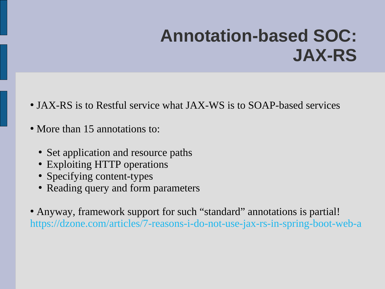# **Annotation-based SOC: JAX-RS**

- JAX-RS is to Restful service what JAX-WS is to SOAP-based services
- More than 15 annotations to:
	- Set application and resource paths
	- Exploiting HTTP operations
	- Specifying content-types
	- Reading query and form parameters
- Anyway, framework support for such "standard" annotations is partial! <https://dzone.com/articles/7-reasons-i-do-not-use-jax-rs-in-spring-boot-web-a>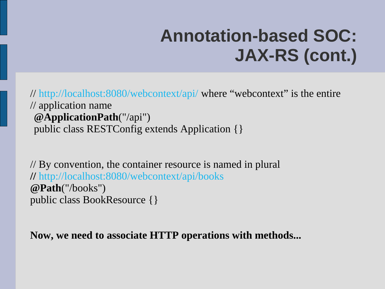// <http://localhost:8080/webcontext/api/>where "webcontext" is the entire // application name **@ApplicationPath**("/api") public class RESTConfig extends Application {}

// By convention, the container resource is named in plural **//** <http://localhost:8080/webcontext/api/books> **@Path**("/books") public class BookResource {}

**Now, we need to associate HTTP operations with methods...**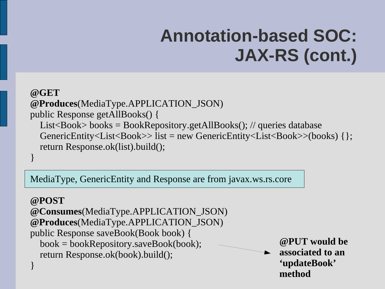#### **@GET @Produces**(MediaType.APPLICATION\_JSON) public Response getAllBooks() { List<Book> books = BookRepository.getAllBooks(); // queries database GenericEntity<List<Book>> list = new GenericEntity<List<Book>>(books) {}; return Response.ok(list).build(); }

MediaType, GenericEntity and Response are from javax.ws.rs.core

#### **@POST**

**@Consumes**(MediaType.APPLICATION\_JSON) **@Produces**(MediaType.APPLICATION\_JSON) public Response saveBook(Book book) { book = bookRepository.saveBook(book); return Response.ok(book).build(); }

**@PUT would be associated to an 'updateBook' method**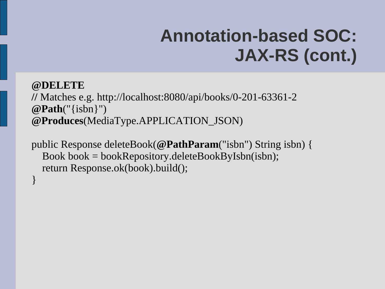**@DELETE //** Matches e.g. http://localhost:8080/api/books/0-201-63361-2 **@Path**("{isbn}") **@Produces**(MediaType.APPLICATION\_JSON)

public Response deleteBook(**@PathParam**("isbn") String isbn) { Book book = bookRepository.deleteBookByIsbn(isbn); return Response.ok(book).build(); }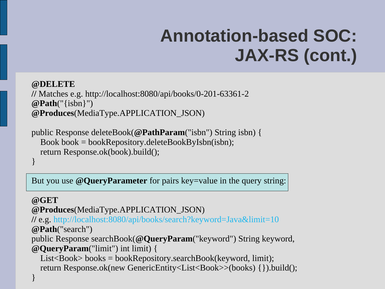**@DELETE //** Matches e.g. http://localhost:8080/api/books/0-201-63361-2 **@Path**("{isbn}") **@Produces**(MediaType.APPLICATION\_JSON)

public Response deleteBook(**@PathParam**("isbn") String isbn) { Book book = bookRepository.deleteBookByIsbn(isbn); return Response.ok(book).build(); }

But you use **@QueryParameter** for pairs key=value in the query string:

#### **@GET**

**@Produces**(MediaType.APPLICATION\_JSON)

**//** e.g.<http://localhost:8080/api/books/search?keyword=Java&limit=10> **@Path**("search")

public Response searchBook(**@QueryParam**("keyword") String keyword, **@QueryParam**("limit") int limit) {

List<Book> books = bookRepository.searchBook(keyword, limit); return Response.ok(new GenericEntity<List<Book>>(books) {}).build();

}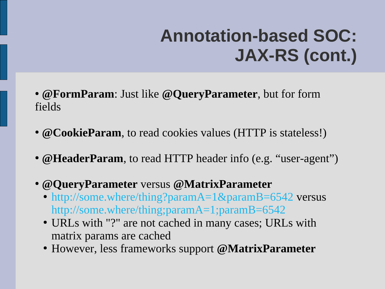- **@FormParam**: Just like **@QueryParameter**, but for form fields
- **@CookieParam**, to read cookies values (HTTP is stateless!)
- **@HeaderParam**, to read HTTP header info (e.g. "user-agent")
- **@QueryParameter** versus **@MatrixParameter**
	- [http://some.where/thing?paramA=1&paramB=6542](http://some.where/thing?paramA=1¶mB=6542) versus <http://some.where/thing;paramA=1;paramB=6542>
	- URLs with "?" are not cached in many cases; URLs with matrix params are cached
	- However, less frameworks support **@MatrixParameter**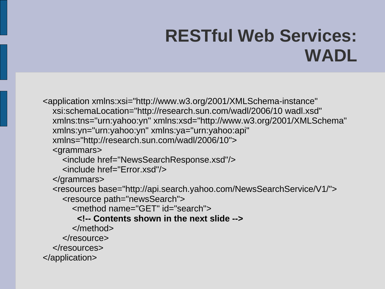## **RESTful Web Services: WADL**

<application xmlns:xsi="http://www.w3.org/2001/XMLSchema-instance" xsi:schemaLocation="http://research.sun.com/wadl/2006/10 wadl.xsd" xmlns:tns="urn:yahoo:yn" xmlns:xsd="http://www.w3.org/2001/XMLSchema" xmlns:yn="urn:yahoo:yn" xmlns:ya="urn:yahoo:api" xmlns="http://research.sun.com/wadl/2006/10"> <grammars> <include href="NewsSearchResponse.xsd"/> <include href="Error.xsd"/> </grammars> <resources base="http://api.search.yahoo.com/NewsSearchService/V1/"> <resource path="newsSearch"> <method name="GET" id="search"> **<!-- Contents shown in the next slide -->** </method> </resource> </resources> </application>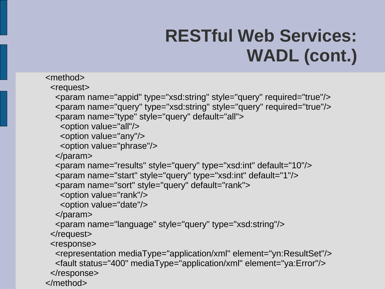# **RESTful Web Services: WADL (cont.)**

```
<method>
```
<request>

```
 <param name="appid" type="xsd:string" style="query" required="true"/>
 <param name="query" type="xsd:string" style="query" required="true"/>
```

```
 <param name="type" style="query" default="all">
```

```
 <option value="all"/>
```

```
 <option value="any"/>
```

```
 <option value="phrase"/>
```
</param>

```
 <param name="results" style="query" type="xsd:int" default="10"/>
```

```
 <param name="start" style="query" type="xsd:int" default="1"/>
```

```
 <param name="sort" style="query" default="rank">
```

```
 <option value="rank"/>
```

```
 <option value="date"/>
```
</param>

```
 <param name="language" style="query" type="xsd:string"/>
```
</request>

<response>

 <representation mediaType="application/xml" element="yn:ResultSet"/> <fault status="400" mediaType="application/xml" element="ya:Error"/> </response>

</method>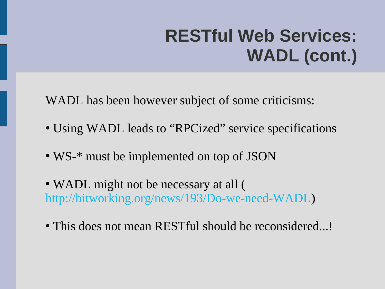# **RESTful Web Services: WADL (cont.)**

WADL has been however subject of some criticisms:

- Using WADL leads to "RPCized" service specifications
- WS-\* must be implemented on top of JSON
- WADL might not be necessary at all ( <http://bitworking.org/news/193/Do-we-need-WADL>)
- This does not mean RESTful should be reconsidered...!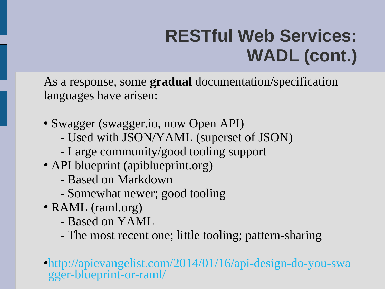# **RESTful Web Services: WADL (cont.)**

As a response, some **gradual** documentation/specification languages have arisen:

- Swagger (swagger.io, now Open API)
	- Used with JSON/YAML (superset of JSON)
	- Large community/good tooling support
- API blueprint (apiblueprint.org)
	- Based on Markdown
	- Somewhat newer; good tooling
- RAML (raml.org)
	- Based on YAML
	- The most recent one; little tooling; pattern-sharing
- ●[http://apievangelist.com/2014/01/16/api-design-do-you-swa](http://apievangelist.com/2014/01/16/api-design-do-you-swagger-blueprint-or-raml/) [gger-blueprint-or-raml/](http://apievangelist.com/2014/01/16/api-design-do-you-swagger-blueprint-or-raml/)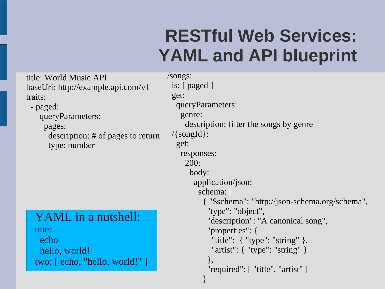# **RESTful Web Services: YAML and API blueprint**

title: World Music API baseUri: http://example.api.com/v1 traits:

- paged:

queryParameters:

pages:

 description: # of pages to return type: number

#### YAML in a nutshell:

one:

echo

 hello, world! two: [ echo, "hello, world!" ] /songs: is: [ paged ] get: queryParameters: genre: description: filter the songs by genre /{songId}: get: responses: 200: body: application/json: schema: | { "\$schema": "http://json-schema.org/schema", "type": "object", "description": "A canonical song", "properties": { "title": { "type": "string" }, "artist": { "type": "string" } }, "required": [ "title", "artist" ] }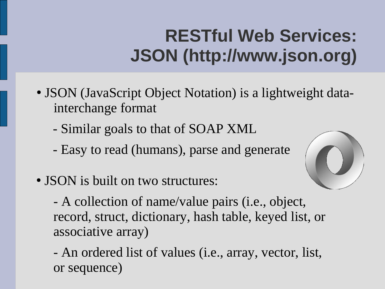# **RESTful Web Services: JSON (http://www.json.org)**

- JSON (JavaScript Object Notation) is a lightweight datainterchange format
	- Similar goals to that of SOAP XML
	- Easy to read (humans), parse and generate
- JSON is built on two structures:



- A collection of name/value pairs (i.e., object, record, struct, dictionary, hash table, keyed list, or associative array)

- An ordered list of values (i.e., array, vector, list, or sequence)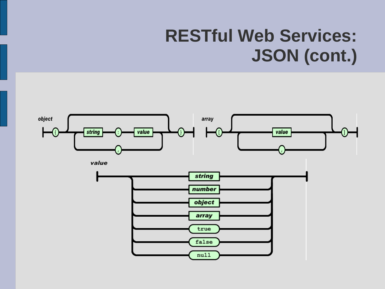### **RESTful Web Services: JSON (cont.)**

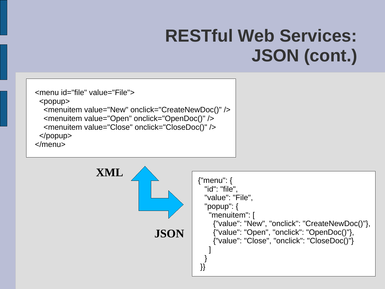# **RESTful Web Services: JSON (cont.)**

<menu id="file" value="File"> <popup> <menuitem value="New" onclick="CreateNewDoc()" /> <menuitem value="Open" onclick="OpenDoc()" /> <menuitem value="Close" onclick="CloseDoc()" /> </popup> </menu>

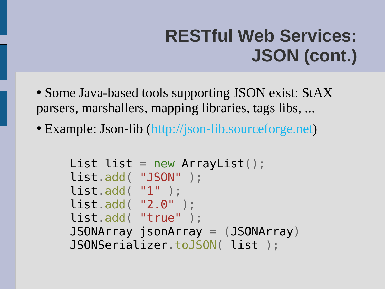# **RESTful Web Services: JSON (cont.)**

- Some Java-based tools supporting JSON exist: StAX parsers, marshallers, mapping libraries, tags libs, ...
- Example: Json-lib ([http://json-lib.sourceforge.net](http://json-lib.sourceforge.net/))

```
List list = new ArrayList();
list.add( "JSON" );
list.add( "1" );
list.add( "2.0" );
list.add( "true" );
JSONArray jsonArray = (JSONArray)
JSONSerializer.toJSON( list );
```